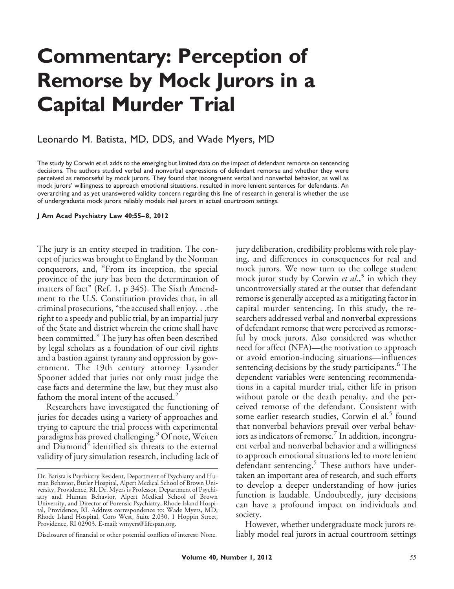# **Commentary: Perception of Remorse by Mock Jurors in a Capital Murder Trial**

# Leonardo M. Batista, MD, DDS, and Wade Myers, MD

The study by Corwin *et al.* adds to the emerging but limited data on the impact of defendant remorse on sentencing decisions. The authors studied verbal and nonverbal expressions of defendant remorse and whether they were perceived as remorseful by mock jurors. They found that incongruent verbal and nonverbal behavior, as well as mock jurors' willingness to approach emotional situations, resulted in more lenient sentences for defendants. An overarching and as yet unanswered validity concern regarding this line of research in general is whether the use of undergraduate mock jurors reliably models real jurors in actual courtroom settings.

#### **J Am Acad Psychiatry Law 40:55– 8, 2012**

The jury is an entity steeped in tradition. The concept of juries was brought to England by the Norman conquerors, and, "From its inception, the special province of the jury has been the determination of matters of fact" (Ref. 1, p 345). The Sixth Amendment to the U.S. Constitution provides that, in all criminal prosecutions, "the accused shall enjoy. . .the right to a speedy and public trial, by an impartial jury of the State and district wherein the crime shall have been committed." The jury has often been described by legal scholars as a foundation of our civil rights and a bastion against tyranny and oppression by government. The 19th century attorney Lysander Spooner added that juries not only must judge the case facts and determine the law, but they must also fathom the moral intent of the accused.<sup>2</sup>

Researchers have investigated the functioning of juries for decades using a variety of approaches and trying to capture the trial process with experimental paradigms has proved challenging.<sup>3</sup> Of note, Weiten and  $D$ iamond $4$  identified six threats to the external validity of jury simulation research, including lack of

Disclosures of financial or other potential conflicts of interest: None.

jury deliberation, credibility problems with role playing, and differences in consequences for real and mock jurors. We now turn to the college student mock juror study by Corwin *et al.*, <sup>5</sup> in which they uncontroversially stated at the outset that defendant remorse is generally accepted as a mitigating factor in capital murder sentencing. In this study, the researchers addressed verbal and nonverbal expressions of defendant remorse that were perceived as remorseful by mock jurors. Also considered was whether need for affect (NFA)—the motivation to approach or avoid emotion-inducing situations—influences sentencing decisions by the study participants.<sup>6</sup> The dependent variables were sentencing recommendations in a capital murder trial, either life in prison without parole or the death penalty, and the perceived remorse of the defendant. Consistent with some earlier research studies, Corwin el al.<sup>5</sup> found that nonverbal behaviors prevail over verbal behaviors as indicators of remorse.<sup>7</sup> In addition, incongruent verbal and nonverbal behavior and a willingness to approach emotional situations led to more lenient defendant sentencing.<sup>5</sup> These authors have undertaken an important area of research, and such efforts to develop a deeper understanding of how juries function is laudable. Undoubtedly, jury decisions can have a profound impact on individuals and society.

However, whether undergraduate mock jurors reliably model real jurors in actual courtroom settings

Dr. Batista is Psychiatry Resident, Department of Psychiatry and Human Behavior, Butler Hospital, Alpert Medical School of Brown University, Providence, RI. Dr. Myers is Professor, Department of Psychiatry and Human Behavior, Alpert Medical School of Brown University, and Director of Forensic Psychiatry, Rhode Island Hospital, Providence, RI. Address correspondence to: Wade Myers, MD, Rhode Island Hospital, Coro West, Suite 2.030, 1 Hoppin Street, Providence, RI 02903. E-mail: wmyers@lifespan.org.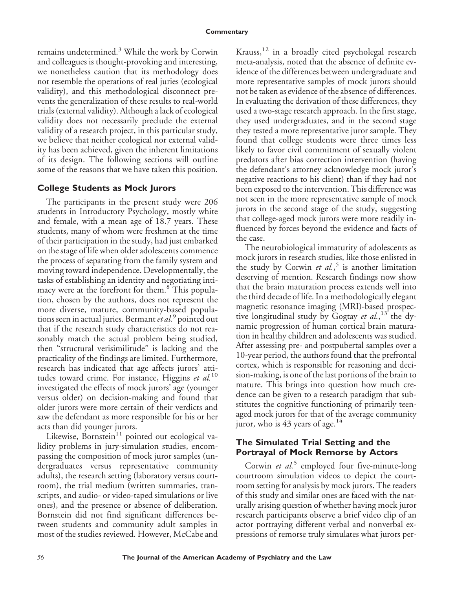remains undetermined.<sup>3</sup> While the work by Corwin and colleagues is thought-provoking and interesting, we nonetheless caution that its methodology does not resemble the operations of real juries (ecological validity), and this methodological disconnect prevents the generalization of these results to real-world trials (external validity). Although a lack of ecological validity does not necessarily preclude the external validity of a research project, in this particular study, we believe that neither ecological nor external validity has been achieved, given the inherent limitations of its design. The following sections will outline some of the reasons that we have taken this position.

## **College Students as Mock Jurors**

The participants in the present study were 206 students in Introductory Psychology, mostly white and female, with a mean age of 18.7 years. These students, many of whom were freshmen at the time of their participation in the study, had just embarked on the stage of life when older adolescents commence the process of separating from the family system and moving toward independence. Developmentally, the tasks of establishing an identity and negotiating intimacy were at the forefront for them.<sup>8</sup> This population, chosen by the authors, does not represent the more diverse, mature, community-based populations seen in actual juries. Bermant*et al.*<sup>9</sup> pointed out that if the research study characteristics do not reasonably match the actual problem being studied, then "structural verisimilitude" is lacking and the practicality of the findings are limited. Furthermore, research has indicated that age affects jurors' attitudes toward crime. For instance, Higgins *et al.*<sup>10</sup> investigated the effects of mock jurors' age (younger versus older) on decision-making and found that older jurors were more certain of their verdicts and saw the defendant as more responsible for his or her acts than did younger jurors.

Likewise, Bornstein $11$  pointed out ecological validity problems in jury-simulation studies, encompassing the composition of mock juror samples (undergraduates versus representative community adults), the research setting (laboratory versus courtroom), the trial medium (written summaries, transcripts, and audio- or video-taped simulations or live ones), and the presence or absence of deliberation. Bornstein did not find significant differences between students and community adult samples in most of the studies reviewed. However, McCabe and

Krauss,  $12$  in a broadly cited psycholegal research meta-analysis, noted that the absence of definite evidence of the differences between undergraduate and more representative samples of mock jurors should not be taken as evidence of the absence of differences. In evaluating the derivation of these differences, they used a two-stage research approach. In the first stage, they used undergraduates, and in the second stage they tested a more representative juror sample. They found that college students were three times less likely to favor civil commitment of sexually violent predators after bias correction intervention (having the defendant's attorney acknowledge mock juror's negative reactions to his client) than if they had not been exposed to the intervention. This difference was not seen in the more representative sample of mock jurors in the second stage of the study, suggesting that college-aged mock jurors were more readily influenced by forces beyond the evidence and facts of the case.

The neurobiological immaturity of adolescents as mock jurors in research studies, like those enlisted in the study by Corwin *et al.*, <sup>5</sup> is another limitation deserving of mention. Research findings now show that the brain maturation process extends well into the third decade of life. In a methodologically elegant magnetic resonance imaging (MRI)-based prospective longitudinal study by Gogtay *et al.*, <sup>13</sup> the dynamic progression of human cortical brain maturation in healthy children and adolescents was studied. After assessing pre- and postpubertal samples over a 10-year period, the authors found that the prefrontal cortex, which is responsible for reasoning and decision-making, is one of the last portions of the brain to mature. This brings into question how much credence can be given to a research paradigm that substitutes the cognitive functioning of primarily teenaged mock jurors for that of the average community juror, who is  $43$  years of age.<sup>14</sup>

## **The Simulated Trial Setting and the Portrayal of Mock Remorse by Actors**

Corwin *et al.*<sup>5</sup> employed four five-minute-long courtroom simulation videos to depict the courtroom setting for analysis by mock jurors. The readers of this study and similar ones are faced with the naturally arising question of whether having mock juror research participants observe a brief video clip of an actor portraying different verbal and nonverbal expressions of remorse truly simulates what jurors per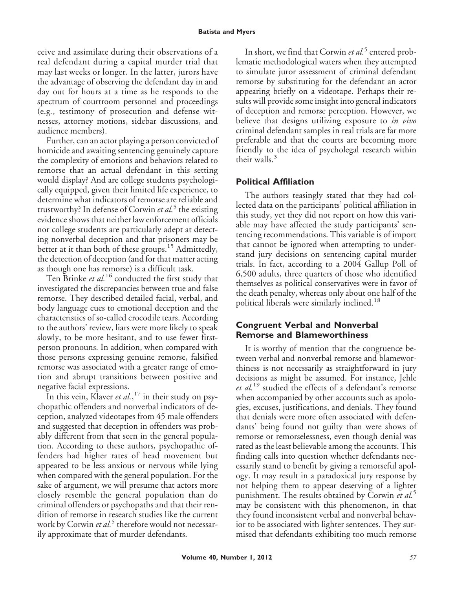ceive and assimilate during their observations of a real defendant during a capital murder trial that may last weeks or longer. In the latter, jurors have the advantage of observing the defendant day in and day out for hours at a time as he responds to the spectrum of courtroom personnel and proceedings (e.g*.*, testimony of prosecution and defense witnesses, attorney motions, sidebar discussions, and audience members).

Further, can an actor playing a person convicted of homicide and awaiting sentencing genuinely capture the complexity of emotions and behaviors related to remorse that an actual defendant in this setting would display? And are college students psychologically equipped, given their limited life experience, to determine what indicators of remorse are reliable and trustworthy? In defense of Corwin *et al.*<sup>5</sup> the existing evidence shows that neither law enforcement officials nor college students are particularly adept at detecting nonverbal deception and that prisoners may be better at it than both of these groups.<sup>15</sup> Admittedly, the detection of deception (and for that matter acting as though one has remorse) is a difficult task.

Ten Brinke *et al.*<sup>16</sup> conducted the first study that investigated the discrepancies between true and false remorse. They described detailed facial, verbal, and body language cues to emotional deception and the characteristics of so-called crocodile tears. According to the authors' review, liars were more likely to speak slowly, to be more hesitant, and to use fewer firstperson pronouns. In addition, when compared with those persons expressing genuine remorse, falsified remorse was associated with a greater range of emotion and abrupt transitions between positive and negative facial expressions.

In this vein, Klaver *et al.*, <sup>17</sup> in their study on psychopathic offenders and nonverbal indicators of deception, analyzed videotapes from 45 male offenders and suggested that deception in offenders was probably different from that seen in the general population. According to these authors, psychopathic offenders had higher rates of head movement but appeared to be less anxious or nervous while lying when compared with the general population. For the sake of argument, we will presume that actors more closely resemble the general population than do criminal offenders or psychopaths and that their rendition of remorse in research studies like the current work by Corwin *et al.*<sup>5</sup> therefore would not necessarily approximate that of murder defendants.

In short, we find that Corwin *et al*.<sup>5</sup> entered problematic methodological waters when they attempted to simulate juror assessment of criminal defendant remorse by substituting for the defendant an actor appearing briefly on a videotape. Perhaps their results will provide some insight into general indicators of deception and remorse perception. However, we believe that designs utilizing exposure to *in vivo* criminal defendant samples in real trials are far more preferable and that the courts are becoming more friendly to the idea of psycholegal research within their walls. $3$ 

# **Political Affiliation**

The authors teasingly stated that they had collected data on the participants' political affiliation in this study, yet they did not report on how this variable may have affected the study participants' sentencing recommendations. This variable is of import that cannot be ignored when attempting to understand jury decisions on sentencing capital murder trials. In fact, according to a 2004 Gallup Poll of 6,500 adults, three quarters of those who identified themselves as political conservatives were in favor of the death penalty, whereas only about one half of the political liberals were similarly inclined.<sup>18</sup>

# **Congruent Verbal and Nonverbal Remorse and Blameworthiness**

It is worthy of mention that the congruence between verbal and nonverbal remorse and blameworthiness is not necessarily as straightforward in jury decisions as might be assumed. For instance, Jehle *et al.*<sup>19</sup> studied the effects of a defendant's remorse when accompanied by other accounts such as apologies, excuses, justifications, and denials. They found that denials were more often associated with defendants' being found not guilty than were shows of remorse or remorselessness, even though denial was rated as the least believable among the accounts. This finding calls into question whether defendants necessarily stand to benefit by giving a remorseful apology. It may result in a paradoxical jury response by not helping them to appear deserving of a lighter punishment. The results obtained by Corwin *et al.*<sup>5</sup> may be consistent with this phenomenon, in that they found inconsistent verbal and nonverbal behavior to be associated with lighter sentences. They surmised that defendants exhibiting too much remorse